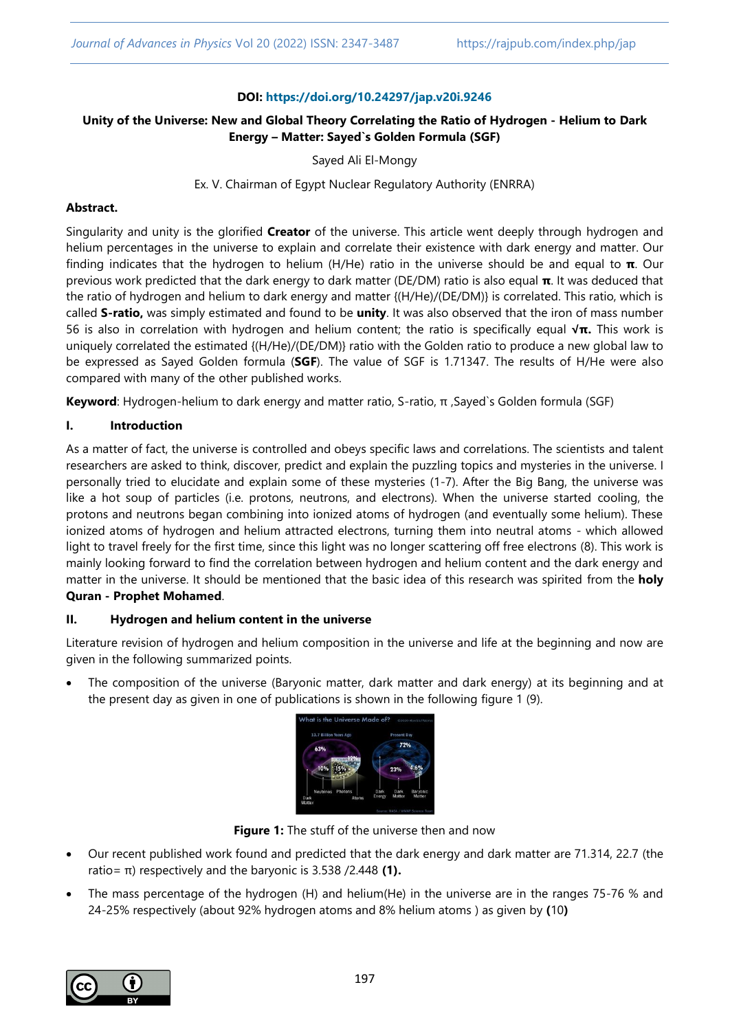### **DOI: <https://doi.org/10.24297/jap.v20i.9246>**

## **Unity of the Universe: New and Global Theory Correlating the Ratio of Hydrogen - Helium to Dark Energy – Matter: Sayed`s Golden Formula (SGF)**

Sayed Ali El-Mongy

Ex. V. Chairman of Egypt Nuclear Regulatory Authority (ENRRA)

### **Abstract.**

Singularity and unity is the glorified **Creator** of the universe. This article went deeply through hydrogen and helium percentages in the universe to explain and correlate their existence with dark energy and matter. Our finding indicates that the hydrogen to helium (H/He) ratio in the universe should be and equal to **π**. Our previous work predicted that the dark energy to dark matter (DE/DM) ratio is also equal **π**. It was deduced that the ratio of hydrogen and helium to dark energy and matter {(H/He)/(DE/DM)} is correlated. This ratio, which is called **S-ratio,** was simply estimated and found to be **unity**. It was also observed that the iron of mass number 56 is also in correlation with hydrogen and helium content; the ratio is specifically equal **√π.** This work is uniquely correlated the estimated {(H/He)/(DE/DM)} ratio with the Golden ratio to produce a new global law to be expressed as Sayed Golden formula (**SGF**). The value of SGF is 1.71347. The results of H/He were also compared with many of the other published works.

**Keyword**: Hydrogen-helium to dark energy and matter ratio, S-ratio, π ,Sayed`s Golden formula (SGF)

## **I. Introduction**

As a matter of fact, the universe is controlled and obeys specific laws and correlations. The scientists and talent researchers are asked to think, discover, predict and explain the puzzling topics and mysteries in the universe. I personally tried to elucidate and explain some of these mysteries (1-7). After the Big Bang, the universe was like a hot soup of particles (i.e. protons, neutrons, and electrons). When the universe started cooling, the protons and neutrons began combining into ionized atoms of hydrogen (and eventually some helium). These ionized atoms of hydrogen and helium attracted electrons, turning them into neutral atoms - which allowed light to travel freely for the first time, since this light was no longer scattering off free electrons (8). This work is mainly looking forward to find the correlation between hydrogen and helium content and the dark energy and matter in the universe. It should be mentioned that the basic idea of this research was spirited from the **holy Quran - Prophet Mohamed**.

## **II. Hydrogen and helium content in the universe**

Literature revision of hydrogen and helium composition in the universe and life at the beginning and now are given in the following summarized points.

 The composition of the universe (Baryonic matter, dark matter and dark energy) at its beginning and at the present day as given in one of publications is shown in the following figure 1 (9).

| 13.7 Billion Years Ago                       | Present Day                                            |
|----------------------------------------------|--------------------------------------------------------|
| 63%                                          | 72%                                                    |
| 10%<br>15%                                   | 23%                                                    |
| Photons<br><b>Neutrinos</b><br>Dark<br>Atoms | Dark<br>Dark<br>Baryonic<br>Matter<br>Matter<br>Energy |

**Figure 1:** The stuff of the universe then and now

- Our recent published work found and predicted that the dark energy and dark matter are 71.314, 22.7 (the ratio= π) respectively and the baryonic is 3.538 /2.448 **(1).**
- The mass percentage of the hydrogen (H) and helium(He) in the universe are in the ranges 75-76 % and 24-25% respectively (about 92% hydrogen atoms and 8% helium atoms ) as given by **(**10**)**

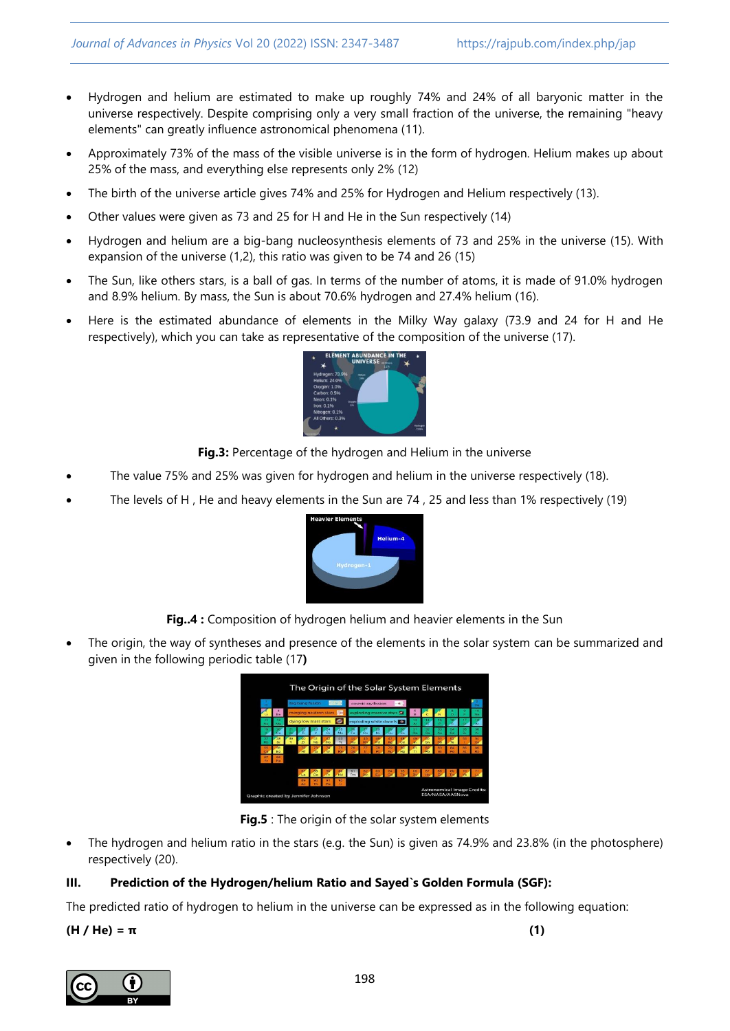- Hydrogen and helium are estimated to make up roughly 74% and 24% of all baryonic matter in the universe respectively. Despite comprising only a very small fraction of the universe, the remaining "heavy elements" can greatly influence astronomical phenomena (11).
- Approximately 73% of the mass of the visible universe is in the form of hydrogen. Helium makes up about 25% of the mass, and everything else represents only 2% (12)
- The birth of the universe article gives 74% and 25% for Hydrogen and Helium respectively (13).
- Other values were given as 73 and 25 for H and He in the Sun respectively (14)
- Hydrogen and helium are a big-bang nucleosynthesis elements of 73 and 25% in the universe (15). With expansion of the universe (1,2), this ratio was given to be 74 and 26 (15)
- The Sun, like others stars, is a ball of gas. In terms of the number of atoms, it is made of 91.0% hydrogen and 8.9% helium. By mass, the Sun is about 70.6% hydrogen and 27.4% helium (16).
- Here is the estimated abundance of elements in the Milky Way galaxy (73.9 and 24 for H and He respectively), which you can take as representative of the composition of the universe (17).



**Fig.3:** Percentage of the hydrogen and Helium in the universe

- The value 75% and 25% was given for hydrogen and helium in the universe respectively (18).
- The levels of H , He and heavy elements in the Sun are 74 , 25 and less than 1% respectively (19)



**Fig..4 :** Composition of hydrogen helium and heavier elements in the Sun

 The origin, the way of syntheses and presence of the elements in the solar system can be summarized and given in the following periodic table (17**)**

| The Origin of the Solar System Elements |          |   |                      |           |                       |    |                         |                        |    |           |                    |  |       |    |                      |    |                                    |
|-----------------------------------------|----------|---|----------------------|-----------|-----------------------|----|-------------------------|------------------------|----|-----------|--------------------|--|-------|----|----------------------|----|------------------------------------|
| w                                       |          |   | big bang fusion      |           |                       |    |                         | cosmic ray fission     |    |           |                    |  |       |    | <b>Sider</b>         |    |                                    |
| u                                       | Be       |   |                      |           | merging neutron stars |    | exploding massive stars |                        |    |           |                    |  |       |    |                      |    | No                                 |
| No.                                     |          |   | dving low mass stars |           |                       |    |                         | exploding white dwarfs |    |           |                    |  |       |    |                      |    |                                    |
|                                         |          |   |                      |           |                       | Mo | Fo                      |                        |    |           |                    |  | Co.   | As | $\tilde{\mathbf{p}}$ |    | ×                                  |
| <b>REA</b>                              | i.       | Ÿ | $\overline{z}$       | <b>Nb</b> | Mo                    | To | Ru.                     |                        | Pd | <b>An</b> | c.                 |  | State |    | Ťe                   |    |                                    |
| ÷                                       | 56<br>Ba |   | $-14$                |           |                       |    |                         |                        |    |           | <b>An</b><br>felo. |  |       |    | 84                   | 86 |                                    |
| m<br>m.                                 | 88<br>Ra |   |                      |           |                       |    |                         |                        |    |           |                    |  |       |    |                      |    |                                    |
|                                         |          |   |                      | $\infty$  |                       |    |                         | 61 62 63 64            |    |           |                    |  |       |    |                      |    |                                    |
|                                         |          |   | 89                   |           |                       |    |                         |                        |    |           |                    |  |       |    |                      |    | <b>Astronomical Image Credits:</b> |
| Graphic created by Jennifer Johnson     |          |   |                      |           |                       |    |                         |                        |    |           |                    |  |       |    | ESA/NASA/AASNova     |    |                                    |

**Fig.5** : The origin of the solar system elements

 The hydrogen and helium ratio in the stars (e.g. the Sun) is given as 74.9% and 23.8% (in the photosphere) respectively (20).

## **III. Prediction of the Hydrogen/helium Ratio and Sayed`s Golden Formula (SGF):**

The predicted ratio of hydrogen to helium in the universe can be expressed as in the following equation:

#### **(H / He) = π (1)**

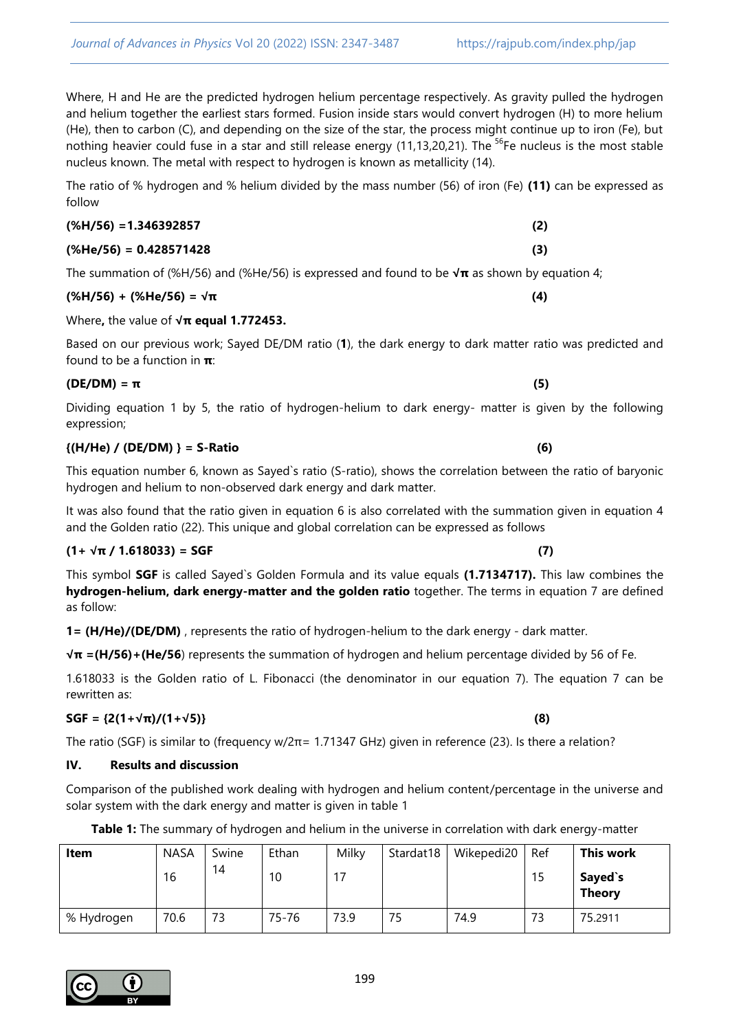Where, H and He are the predicted hydrogen helium percentage respectively. As gravity pulled the hydrogen and helium together the earliest stars formed. Fusion inside stars would convert hydrogen (H) to more helium (He), then to carbon (C), and depending on the size of the star, the process might continue up to iron (Fe), but nothing heavier could fuse in a star and still release energy (11,13,20,21). The <sup>56</sup>Fe nucleus is the most stable nucleus known. The metal with respect to hydrogen is known as metallicity (14).

The ratio of % hydrogen and % helium divided by the mass number (56) of iron (Fe) **(11)** can be expressed as follow

## **(%H/56) =1.346392857 (2)**

## **(%He/56) = 0.428571428 (3)**

The summation of (%H/56) and (%He/56) is expressed and found to be **√π** as shown by equation 4;

# **(%H/56) + (%He/56) = √π (4)**

## Where**,** the value of **√π equal 1.772453.**

Based on our previous work; Sayed DE/DM ratio (**1**), the dark energy to dark matter ratio was predicted and found to be a function in **π**:

Dividing equation 1 by 5, the ratio of hydrogen-helium to dark energy- matter is given by the following expression;

# **{(H/He) / (DE/DM) } = S-Ratio (6)**

This equation number 6, known as Sayed`s ratio (S-ratio), shows the correlation between the ratio of baryonic hydrogen and helium to non-observed dark energy and dark matter.

It was also found that the ratio given in equation 6 is also correlated with the summation given in equation 4 and the Golden ratio (22). This unique and global correlation can be expressed as follows

# $(1 + \sqrt{\pi}) 1.618033$ ) = SGF (7)

This symbol **SGF** is called Sayed`s Golden Formula and its value equals **(1.7134717).** This law combines the **hydrogen-helium, dark energy-matter and the golden ratio** together. The terms in equation 7 are defined as follow:

**1= (H/He)/(DE/DM)** , represents the ratio of hydrogen-helium to the dark energy - dark matter.

**√π =(H/56)+(He/56**) represents the summation of hydrogen and helium percentage divided by 56 of Fe.

1.618033 is the Golden ratio of L. Fibonacci (the denominator in our equation 7). The equation 7 can be rewritten as:

# **SGF = {2(1+√π)/(1+√5)} (8)**

The ratio (SGF) is similar to (frequency w/2π= 1.71347 GHz) given in reference (23). Is there a relation?

# **IV. Results and discussion**

Comparison of the published work dealing with hydrogen and helium content/percentage in the universe and solar system with the dark energy and matter is given in table 1

|  |  |  |  |  | Table 1: The summary of hydrogen and helium in the universe in correlation with dark energy-matter |  |  |
|--|--|--|--|--|----------------------------------------------------------------------------------------------------|--|--|
|  |  |  |  |  |                                                                                                    |  |  |

| Item       | <b>NASA</b> | Swine | Ethan | Milky | Stardat18 | Wikepedi20 | Ref | This work                |
|------------|-------------|-------|-------|-------|-----------|------------|-----|--------------------------|
|            | 16          | 14    | 10    | 17    |           |            | 15  | Sayed`s<br><b>Theory</b> |
| % Hydrogen | 70.6        | 73    | 75-76 | 73.9  | 75        | 74.9       | 73  | 75.2911                  |

# $(DE/DM) = \pi$  (5)

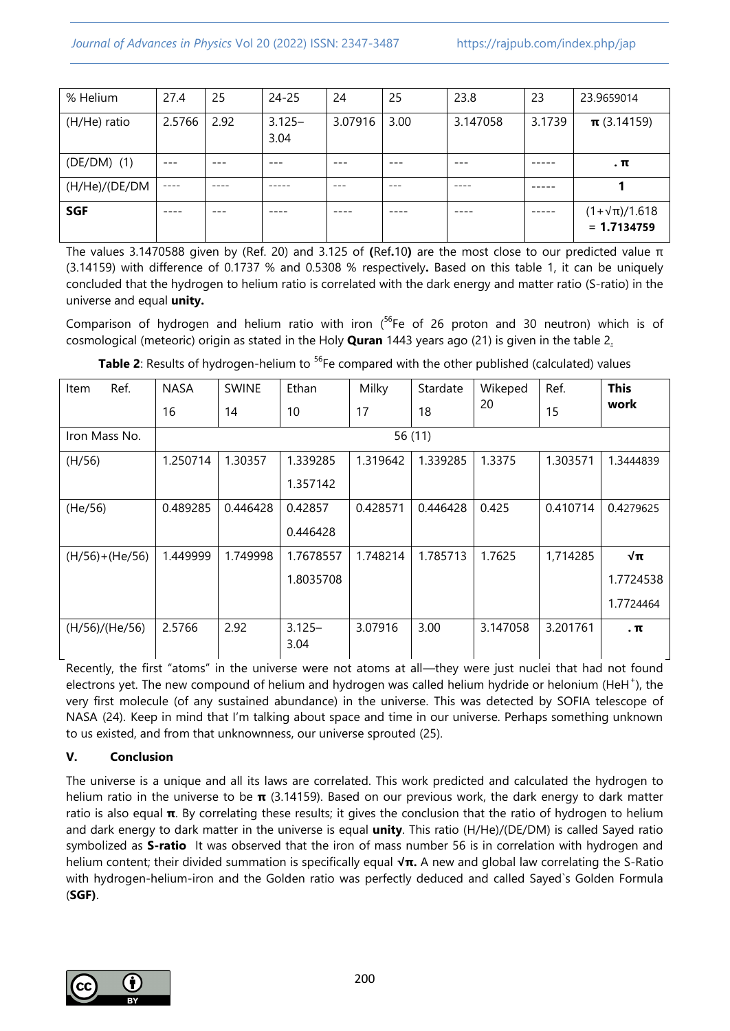| % Helium      | 27.4      | 25   | $24 - 25$         | 24      | 25   | 23.8     | 23     | 23.9659014                              |
|---------------|-----------|------|-------------------|---------|------|----------|--------|-----------------------------------------|
| (H/He) ratio  | 2.5766    | 2.92 | $3.125 -$<br>3.04 | 3.07916 | 3.00 | 3.147058 | 3.1739 | $\pi$ (3.14159)                         |
| $(DE/DM)$ (1) |           |      |                   |         |      |          |        | $\cdot$ $\pi$                           |
| (H/He)/(DE/DM | $- - - -$ |      |                   | ---     | ---  |          |        |                                         |
| <b>SGF</b>    |           |      |                   |         |      |          |        | $(1+\sqrt{\pi})/1.618$<br>$= 1.7134759$ |

The values 3.1470588 given by (Ref. 20) and 3.125 of **(**Ref**.**10**)** are the most close to our predicted value π (3.14159) with difference of 0.1737 % and 0.5308 % respectively**.** Based on this table 1, it can be uniquely concluded that the hydrogen to helium ratio is correlated with the dark energy and matter ratio (S-ratio) in the universe and equal **unity.**

Comparison of hydrogen and helium ratio with iron ( $56$ Fe of 26 proton and 30 neutron) which is of cosmological (meteoric) origin as stated in the Holy **Quran** 1443 years ago (21) is given in the table 2.

| Ref.<br>Item       | <b>NASA</b> | <b>SWINE</b> | Ethan             | Milky    | Stardate | Wikeped  | Ref.     | <b>This</b>   |  |  |
|--------------------|-------------|--------------|-------------------|----------|----------|----------|----------|---------------|--|--|
|                    | 16          | 14           | 10                | 17       | 18       | 20       | 15       | work          |  |  |
| Iron Mass No.      | 56 (11)     |              |                   |          |          |          |          |               |  |  |
| (H/56)             | 1.250714    | 1.30357      | 1.339285          | 1.319642 | 1.339285 | 1.3375   | 1.303571 | 1.3444839     |  |  |
|                    |             |              | 1.357142          |          |          |          |          |               |  |  |
| (He/56)            | 0.489285    | 0.446428     | 0.42857           | 0.428571 | 0.446428 | 0.425    | 0.410714 | 0.4279625     |  |  |
|                    |             |              | 0.446428          |          |          |          |          |               |  |  |
| $(H/56) + (He/56)$ | 1.449999    | 1.749998     | 1.7678557         | 1.748214 | 1.785713 | 1.7625   | 1,714285 | √π            |  |  |
|                    |             |              | 1.8035708         |          |          |          |          | 1.7724538     |  |  |
|                    |             |              |                   |          |          |          |          | 1.7724464     |  |  |
| (H/56)/(He/56)     | 2.5766      | 2.92         | $3.125 -$<br>3.04 | 3.07916  | 3.00     | 3.147058 | 3.201761 | $\cdot$ $\pi$ |  |  |

**Table 2**: Results of hydrogen-helium to <sup>56</sup>Fe compared with the other published (calculated) values

Recently, the first "atoms" in the universe were not atoms at all—they were just nuclei that had not found electrons yet. The new compound of helium and hydrogen was called helium hydride or helonium (HeH<sup>+</sup>), the very first molecule (of any sustained abundance) in the universe. This was detected by SOFIA telescope of NASA (24). Keep in mind that I'm talking about space and time in our universe. Perhaps something unknown to us existed, and from that unknownness, our universe sprouted (25).

# **V. Conclusion**

The universe is a unique and all its laws are correlated. This work predicted and calculated the hydrogen to helium ratio in the universe to be **π** (3.14159). Based on our previous work, the dark energy to dark matter ratio is also equal **π**. By correlating these results; it gives the conclusion that the ratio of hydrogen to helium and dark energy to dark matter in the universe is equal **unity**. This ratio (H/He)/(DE/DM) is called Sayed ratio symbolized as **S-ratio** It was observed that the iron of mass number 56 is in correlation with hydrogen and helium content; their divided summation is specifically equal **√π.** A new and global law correlating the S-Ratio with hydrogen-helium-iron and the Golden ratio was perfectly deduced and called Sayed`s Golden Formula (**SGF)**.

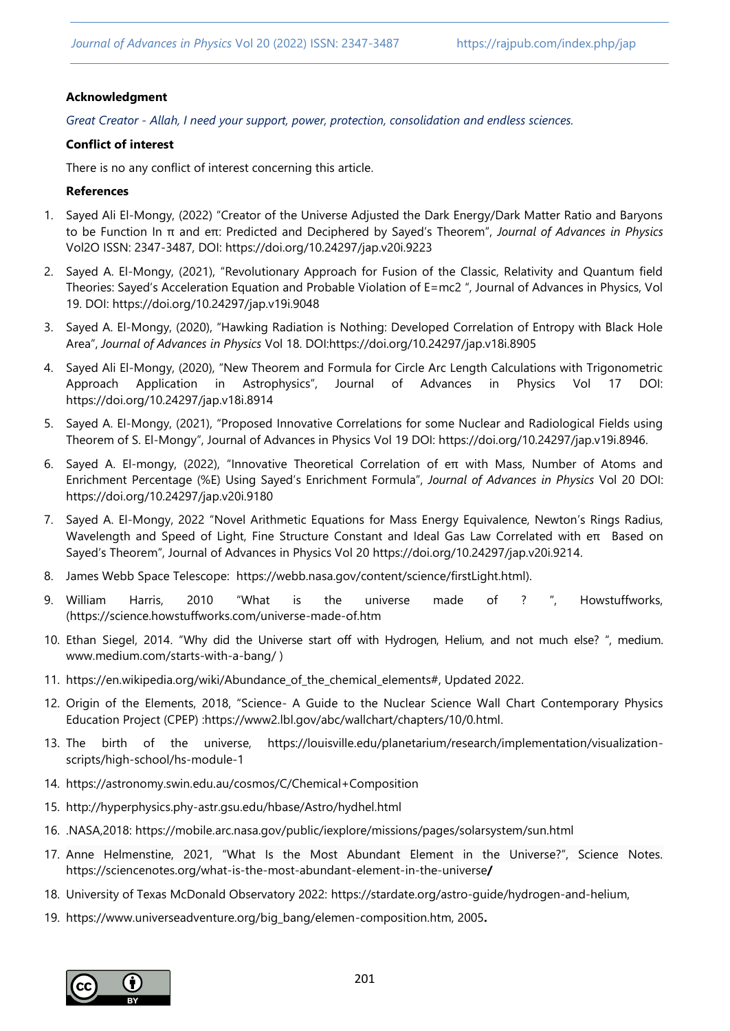#### **Acknowledgment**

*Great Creator - Allah, I need your support, power, protection, consolidation and endless sciences.*

#### **Conflict of interest**

There is no any conflict of interest concerning this article.

#### **References**

- 1. Sayed Ali El-Mongy, (2022) "Creator of the Universe Adjusted the Dark Energy/Dark Matter Ratio and Baryons to be Function In π and eπ: Predicted and Deciphered by Sayed's Theorem‖, *Journal of Advances in Physics*  Vol2O ISSN: 2347-3487, DOI: https://doi.org/10.24297/jap.v20i.9223
- 2. Sayed A. El-Mongy, (2021), "Revolutionary Approach for Fusion of the Classic, Relativity and Quantum field Theories: Sayed's Acceleration Equation and Probable Violation of E=mc2 ", Journal of Advances in Physics, Vol 19. DOI:<https://doi.org/10.24297/jap.v19i.9048>
- 3. Sayed A. El-Mongy, (2020), "Hawking Radiation is Nothing: Developed Correlation of Entropy with Black Hole Area‖, *Journal of Advances in Physics* Vol 18. DOI:https://doi.org/10.24297/jap.v18i.8905
- 4. Sayed Ali El-Mongy, (2020), "New Theorem and Formula for Circle Arc Length Calculations with Trigonometric Approach Application in Astrophysics‖, Journal of Advances in Physics Vol 17 DOI: https://doi.org/10.24297/jap.v18i.8914
- 5. Sayed A. El-Mongy, (2021), "Proposed Innovative Correlations for some Nuclear and Radiological Fields using Theorem of S. El-Mongy", Journal of Advances in Physics Vol 19 DOI: https://doi.org/10.24297/jap.v19i.8946.
- 6. Sayed A. El-mongy, (2022), "Innovative Theoretical Correlation of eπ with Mass, Number of Atoms and Enrichment Percentage (%E) Using Sayed's Enrichment Formula‖, *Journal of Advances in Physics* Vol 20 DOI: https://doi.org/10.24297/jap.v20i.9180
- 7. Sayed A. El-Mongy, 2022 "Novel Arithmetic Equations for Mass Energy Equivalence, Newton's Rings Radius, Wavelength and Speed of Light, Fine Structure Constant and Ideal Gas Law Correlated with eπ Based on Sayed's Theorem", Journal of Advances in Physics Vol 20 https://doi.org/10.24297/jap.v20i.9214.
- 8. James Webb Space Telescope: [https://webb.nasa.gov/content/science/firstLight.html\)](https://webb.nasa.gov/content/science/firstLight.html).
- 9. William Harris, 2010 "What is the universe made of ? ". Howstuffworks, [\(https://science.howstuffworks.com/universe-made-of.htm](https://science.howstuffworks.com/universe-made-of.htm)
- 10. [Ethan Siegel,](https://medium.com/@startswithabang?source=post_page-----58648b7d27aa--------------------------------) 2014. "Why did the Universe start off with Hydrogen, Helium, and not much else? ", medium. [www.medium.com/](http://www.medium.com/)starts-with-a-bang/ )
- 11. [https://en.wikipedia.org/wiki/Abundance\\_of\\_the\\_chemical\\_elements#,](https://en.wikipedia.org/wiki/Abundance_of_the_chemical_elements) Updated 2022.
- 12. Origin of the Elements, 2018, "Science- A Guide to the Nuclear Science Wall Chart Contemporary Physics Education Project (CPEP) [:https://www2.lbl.gov/abc/wallchart/chapters/10/0.html.](https://www2.lbl.gov/abc/wallchart/chapters/10/0.html)
- 13. The birth of the universe, https://louisville.edu/planetarium/research/implementation/visualizationscripts/high-school/hs-module-1
- 14. https://astronomy.swin.edu.au/cosmos/C/Chemical+Composition
- 15. http://hyperphysics.phy-astr.gsu.edu/hbase/Astro/hydhel.html
- 16. .NASA,2018: https://mobile.arc.nasa.gov/public/iexplore/missions/pages/solarsystem/sun.html
- 17. [Anne Helmenstine](https://sciencenotes.org/author/azareal/), 2021, "What Is the Most Abundant Element in the Universe?", Science Notes. [https://sciencenotes.org/what-is-the-most-abundant-element-in-the-universe](https://sciencenotes.org/what-is-the-most-abundant-element-in-the-universe/)**/**
- 18. University of Texas McDonald Observatory 2022: [https://stardate.org/astro-guide/hydrogen-and-helium,](https://stardate.org/astro-guide/hydrogen-and-helium)
- 19. [https://www.universeadventure.org/big\\_bang/elemen-composition.htm,](https://www.universeadventure.org/big_bang/elemen-composition.htm) 2005**.**